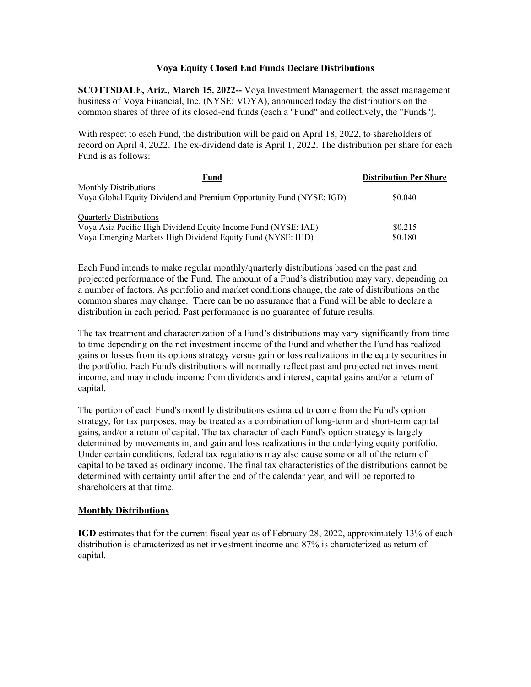## **Voya Equity Closed End Funds Declare Distributions**

**SCOTTSDALE, Ariz., March 15, 2022--** Voya Investment Management, the asset management business of Voya Financial, Inc. (NYSE: VOYA), announced today the distributions on the common shares of three of its closed-end funds (each a "Fund" and collectively, the "Funds").

With respect to each Fund, the distribution will be paid on April 18, 2022, to shareholders of record on April 4, 2022. The ex-dividend date is April 1, 2022. The distribution per share for each Fund is as follows:

| Fund                                                                                                 | <b>Distribution Per Share</b> |
|------------------------------------------------------------------------------------------------------|-------------------------------|
| <b>Monthly Distributions</b><br>Voya Global Equity Dividend and Premium Opportunity Fund (NYSE: IGD) | \$0.040                       |
| <b>Quarterly Distributions</b>                                                                       |                               |
| Voya Asia Pacific High Dividend Equity Income Fund (NYSE: IAE)                                       | \$0.215                       |
| Voya Emerging Markets High Dividend Equity Fund (NYSE: IHD)                                          | \$0.180                       |

Each Fund intends to make regular monthly/quarterly distributions based on the past and projected performance of the Fund. The amount of a Fund's distribution may vary, depending on a number of factors. As portfolio and market conditions change, the rate of distributions on the common shares may change. There can be no assurance that a Fund will be able to declare a distribution in each period. Past performance is no guarantee of future results.

The tax treatment and characterization of a Fund's distributions may vary significantly from time to time depending on the net investment income of the Fund and whether the Fund has realized gains or losses from its options strategy versus gain or loss realizations in the equity securities in the portfolio. Each Fund's distributions will normally reflect past and projected net investment income, and may include income from dividends and interest, capital gains and/or a return of capital.

The portion of each Fund's monthly distributions estimated to come from the Fund's option strategy, for tax purposes, may be treated as a combination of long-term and short-term capital gains, and/or a return of capital. The tax character of each Fund's option strategy is largely determined by movements in, and gain and loss realizations in the underlying equity portfolio. Under certain conditions, federal tax regulations may also cause some or all of the return of capital to be taxed as ordinary income. The final tax characteristics of the distributions cannot be determined with certainty until after the end of the calendar year, and will be reported to shareholders at that time.

## **Monthly Distributions**

**IGD** estimates that for the current fiscal year as of February 28, 2022, approximately 13% of each distribution is characterized as net investment income and 87% is characterized as return of capital.